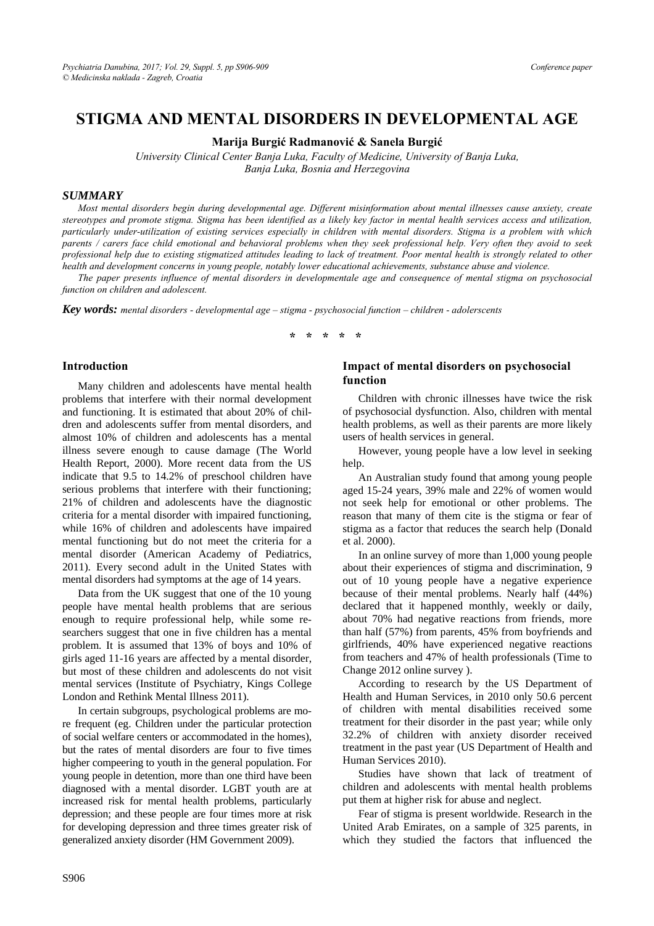# **STIGMA AND MENTAL DISORDERS IN DEVELOPMENTAL AGE**

**Marija Burgić Radmanović & Sanela Burgić**

*University Clinical Center Banja Luka, Faculty of Medicine, University of Banja Luka, Banja Luka, Bosnia and Herzegovina* 

#### *SUMMARY*

*Most mental disorders begin during developmental age. Different misinformation about mental illnesses cause anxiety, create stereotypes and promote stigma. Stigma has been identified as a likely key factor in mental health services access and utilization, particularly under-utilization of existing services especially in children with mental disorders. Stigma is a problem with which parents / carers face child emotional and behavioral problems when they seek professional help. Very often they avoid to seek professional help due to existing stigmatized attitudes leading to lack of treatment. Poor mental health is strongly related to other health and development concerns in young people, notably lower educational achievements, substance abuse and violence.* 

*The paper presents influence of mental disorders in developmentale age and consequence of mental stigma on psychosocial function on children and adolescent.* 

*Key words: mental disorders - developmental age – stigma - psychosocial function – children - adolerscents* 

**\* \* \* \* \*** 

#### **Introduction**

Many children and adolescents have mental health problems that interfere with their normal development and functioning. It is estimated that about 20% of children and adolescents suffer from mental disorders, and almost 10% of children and adolescents has a mental illness severe enough to cause damage (The World Health Report, 2000). More recent data from the US indicate that 9.5 to 14.2% of preschool children have serious problems that interfere with their functioning; 21% of children and adolescents have the diagnostic criteria for a mental disorder with impaired functioning, while 16% of children and adolescents have impaired mental functioning but do not meet the criteria for a mental disorder (American Academy of Pediatrics, 2011). Every second adult in the United States with mental disorders had symptoms at the age of 14 years.

Data from the UK suggest that one of the 10 young people have mental health problems that are serious enough to require professional help, while some researchers suggest that one in five children has a mental problem. It is assumed that 13% of boys and 10% of girls aged 11-16 years are affected by a mental disorder, but most of these children and adolescents do not visit mental services (Institute of Psychiatry, Kings College London and Rethink Mental Illness 2011).

In certain subgroups, psychological problems are more frequent (eg. Children under the particular protection of social welfare centers or accommodated in the homes), but the rates of mental disorders are four to five times higher compeering to youth in the general population. For young people in detention, more than one third have been diagnosed with a mental disorder. LGBT youth are at increased risk for mental health problems, particularly depression; and these people are four times more at risk for developing depression and three times greater risk of generalized anxiety disorder (HM Government 2009).

#### **Impact of mental disorders on psychosocial function**

Children with chronic illnesses have twice the risk of psychosocial dysfunction. Also, children with mental health problems, as well as their parents are more likely users of health services in general.

However, young people have a low level in seeking help.

An Australian study found that among young people aged 15-24 years, 39% male and 22% of women would not seek help for emotional or other problems. The reason that many of them cite is the stigma or fear of stigma as a factor that reduces the search help (Donald et al. 2000).

In an online survey of more than 1,000 young people about their experiences of stigma and discrimination, 9 out of 10 young people have a negative experience because of their mental problems. Nearly half (44%) declared that it happened monthly, weekly or daily, about 70% had negative reactions from friends, more than half (57%) from parents, 45% from boyfriends and girlfriends, 40% have experienced negative reactions from teachers and 47% of health professionals (Time to Change 2012 online survey ).

According to research by the US Department of Health and Human Services, in 2010 only 50.6 percent of children with mental disabilities received some treatment for their disorder in the past year; while only 32.2% of children with anxiety disorder received treatment in the past year (US Department of Health and Human Services 2010).

Studies have shown that lack of treatment of children and adolescents with mental health problems put them at higher risk for abuse and neglect.

Fear of stigma is present worldwide. Research in the United Arab Emirates, on a sample of 325 parents, in which they studied the factors that influenced the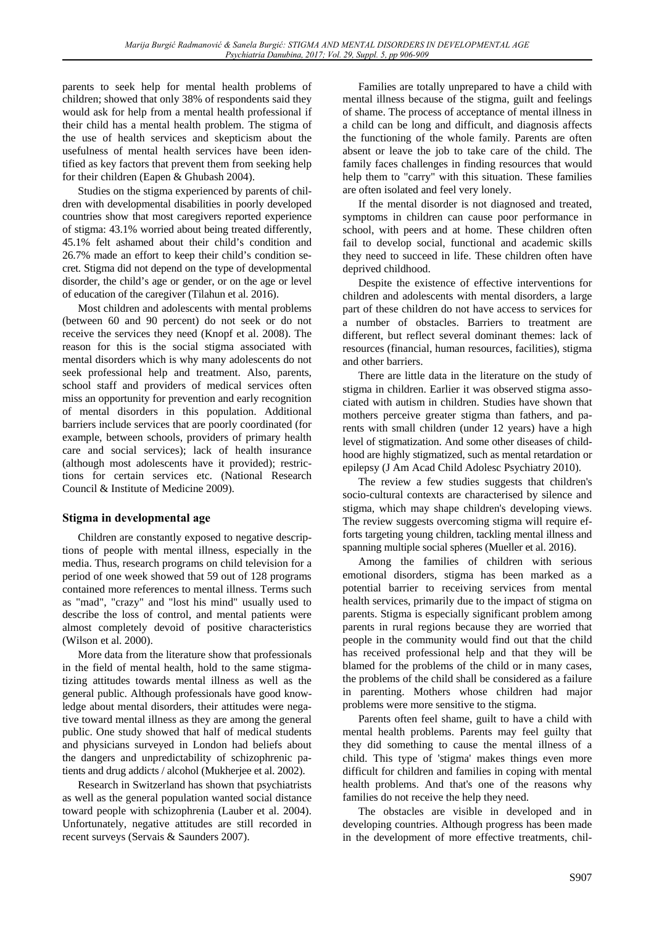parents to seek help for mental health problems of children; showed that only 38% of respondents said they would ask for help from a mental health professional if their child has a mental health problem. The stigma of the use of health services and skepticism about the usefulness of mental health services have been identified as key factors that prevent them from seeking help for their children (Eapen & Ghubash 2004).

Studies on the stigma experienced by parents of children with developmental disabilities in poorly developed countries show that most caregivers reported experience of stigma: 43.1% worried about being treated differently, 45.1% felt ashamed about their child's condition and 26.7% made an effort to keep their child's condition secret. Stigma did not depend on the type of developmental disorder, the child's age or gender, or on the age or level of education of the caregiver (Tilahun et al. 2016).

Most children and adolescents with mental problems (between 60 and 90 percent) do not seek or do not receive the services they need (Knopf et al. 2008). The reason for this is the social stigma associated with mental disorders which is why many adolescents do not seek professional help and treatment. Also, parents, school staff and providers of medical services often miss an opportunity for prevention and early recognition of mental disorders in this population. Additional barriers include services that are poorly coordinated (for example, between schools, providers of primary health care and social services); lack of health insurance (although most adolescents have it provided); restrictions for certain services etc. (National Research Council & Institute of Medicine 2009).

### **Stigma in developmental age**

Children are constantly exposed to negative descriptions of people with mental illness, especially in the media. Thus, research programs on child television for a period of one week showed that 59 out of 128 programs contained more references to mental illness. Terms such as "mad", "crazy" and "lost his mind" usually used to describe the loss of control, and mental patients were almost completely devoid of positive characteristics (Wilson et al. 2000).

More data from the literature show that professionals in the field of mental health, hold to the same stigmatizing attitudes towards mental illness as well as the general public. Although professionals have good knowledge about mental disorders, their attitudes were negative toward mental illness as they are among the general public. One study showed that half of medical students and physicians surveyed in London had beliefs about the dangers and unpredictability of schizophrenic patients and drug addicts / alcohol (Mukherjee et al. 2002).

Research in Switzerland has shown that psychiatrists as well as the general population wanted social distance toward people with schizophrenia (Lauber et al. 2004). Unfortunately, negative attitudes are still recorded in recent surveys (Servais & Saunders 2007).

Families are totally unprepared to have a child with mental illness because of the stigma, guilt and feelings of shame. The process of acceptance of mental illness in a child can be long and difficult, and diagnosis affects the functioning of the whole family. Parents are often absent or leave the job to take care of the child. The family faces challenges in finding resources that would help them to "carry" with this situation. These families are often isolated and feel very lonely.

If the mental disorder is not diagnosed and treated, symptoms in children can cause poor performance in school, with peers and at home. These children often fail to develop social, functional and academic skills they need to succeed in life. These children often have deprived childhood.

Despite the existence of effective interventions for children and adolescents with mental disorders, a large part of these children do not have access to services for a number of obstacles. Barriers to treatment are different, but reflect several dominant themes: lack of resources (financial, human resources, facilities), stigma and other barriers.

There are little data in the literature on the study of stigma in children. Earlier it was observed stigma associated with autism in children. Studies have shown that mothers perceive greater stigma than fathers, and parents with small children (under 12 years) have a high level of stigmatization. And some other diseases of childhood are highly stigmatized, such as mental retardation or epilepsy (J Am Acad Child Adolesc Psychiatry 2010).

The review a few studies suggests that children's socio-cultural contexts are characterised by silence and stigma, which may shape children's developing views. The review suggests overcoming stigma will require efforts targeting young children, tackling mental illness and spanning multiple social spheres (Mueller et al. 2016).

Among the families of children with serious emotional disorders, stigma has been marked as a potential barrier to receiving services from mental health services, primarily due to the impact of stigma on parents. Stigma is especially significant problem among parents in rural regions because they are worried that people in the community would find out that the child has received professional help and that they will be blamed for the problems of the child or in many cases, the problems of the child shall be considered as a failure in parenting. Mothers whose children had major problems were more sensitive to the stigma.

Parents often feel shame, guilt to have a child with mental health problems. Parents may feel guilty that they did something to cause the mental illness of a child. This type of 'stigma' makes things even more difficult for children and families in coping with mental health problems. And that's one of the reasons why families do not receive the help they need.

The obstacles are visible in developed and in developing countries. Although progress has been made in the development of more effective treatments, chil-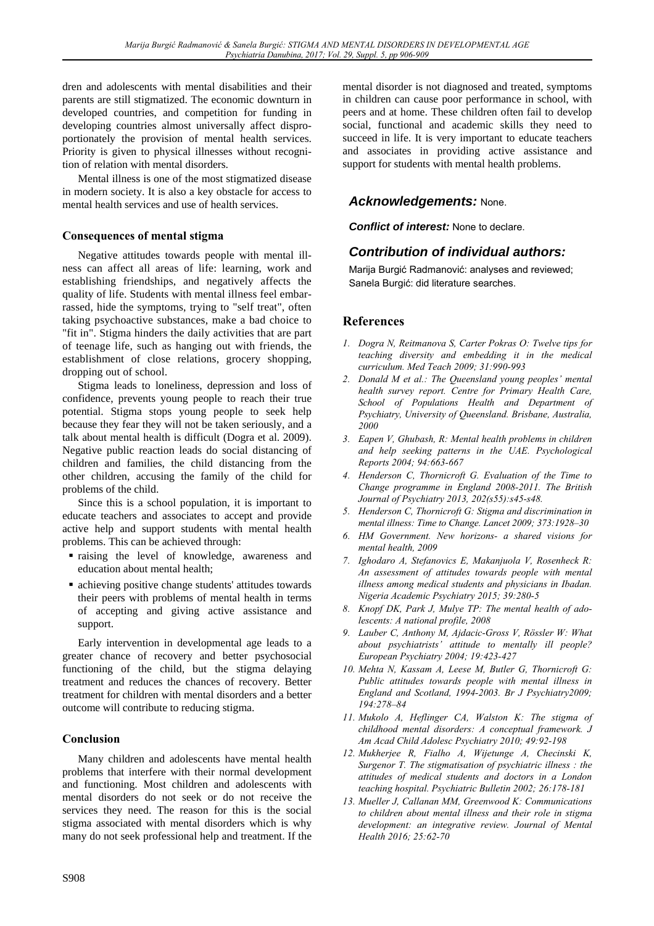dren and adolescents with mental disabilities and their parents are still stigmatized. The economic downturn in developed countries, and competition for funding in developing countries almost universally affect disproportionately the provision of mental health services. Priority is given to physical illnesses without recognition of relation with mental disorders.

Mental illness is one of the most stigmatized disease in modern society. It is also a key obstacle for access to mental health services and use of health services.

### **Consequences of mental stigma**

Negative attitudes towards people with mental illness can affect all areas of life: learning, work and establishing friendships, and negatively affects the quality of life. Students with mental illness feel embarrassed, hide the symptoms, trying to "self treat", often taking psychoactive substances, make a bad choice to "fit in". Stigma hinders the daily activities that are part of teenage life, such as hanging out with friends, the establishment of close relations, grocery shopping, dropping out of school.

Stigma leads to loneliness, depression and loss of confidence, prevents young people to reach their true potential. Stigma stops young people to seek help because they fear they will not be taken seriously, and a talk about mental health is difficult (Dogra et al. 2009). Negative public reaction leads do social distancing of children and families, the child distancing from the other children, accusing the family of the child for problems of the child.

Since this is a school population, it is important to educate teachers and associates to accept and provide active help and support students with mental health problems. This can be achieved through:

- raising the level of knowledge, awareness and education about mental health;
- achieving positive change students' attitudes towards their peers with problems of mental health in terms of accepting and giving active assistance and support.

Early intervention in developmental age leads to a greater chance of recovery and better psychosocial functioning of the child, but the stigma delaying treatment and reduces the chances of recovery. Better treatment for children with mental disorders and a better outcome will contribute to reducing stigma.

### **Conclusion**

Many children and adolescents have mental health problems that interfere with their normal development and functioning. Most children and adolescents with mental disorders do not seek or do not receive the services they need. The reason for this is the social stigma associated with mental disorders which is why many do not seek professional help and treatment. If the

mental disorder is not diagnosed and treated, symptoms in children can cause poor performance in school, with peers and at home. These children often fail to develop social, functional and academic skills they need to succeed in life. It is very important to educate teachers and associates in providing active assistance and support for students with mental health problems.

## *Acknowledgements:* None.

*Conflict of interest:* None to declare.

## *Contribution of individual authors:*

Marija Burgić Radmanović: analyses and reviewed; Sanela Burgić: did literature searches.

## **References**

- *1. Dogra N, Reitmanova S, Carter Pokras O: Twelve tips for teaching diversity and embedding it in the medical curriculum. Med Teach 2009; 31:990-993*
- *2. Donald M et al.: The Queensland young peoples' mental health survey report. Centre for Primary Health Care, School of Populations Health and Department of Psychiatry, University of Queensland. Brisbane, Australia, 2000*
- *3. Eapen V, Ghubash, R: Mental health problems in children and help seeking patterns in the UAE. Psychological Reports 2004; 94:663-667*
- *4. Henderson C, Thornicroft G. Evaluation of the Time to Change programme in England 2008-2011. The British Journal of Psychiatry 2013, 202(s55):s45-s48.*
- *5. Henderson C, Thornicroft G: Stigma and discrimination in mental illness: Time to Change. Lancet 2009; 373:1928–30*
- *6. HM Government. New horizons- a shared visions for mental health, 2009*
- *7. Ighodaro A, Stefanovics E, Makanjuola V, Rosenheck R: An assessment of attitudes towards people with mental illness among medical students and physicians in Ibadan. Nigeria Academic Psychiatry 2015; 39:280-5*
- *8. Knopf DK, Park J, Mulye TP: The mental health of adolescents: A national profile, 2008*
- *9. Lauber C, Anthony M, Ajdacic-Gross V, Rössler W: What about psychiatrists' attitude to mentally ill people? European Psychiatry 2004; 19:423-427*
- *10. Mehta N, Kassam A, Leese M, Butler G, Thornicroft G: Public attitudes towards people with mental illness in England and Scotland, 1994-2003. Br J Psychiatry2009; 194:278–84*
- *11. Mukolo A, Heflinger CA, Walston K: The stigma of childhood mental disorders: A conceptual framework. J Am Acad Child Adolesc Psychiatry 2010; 49:92-198*
- *12. Mukherjee R, Fialho A, Wijetunge A, Checinski K, Surgenor T. The stigmatisation of psychiatric illness : the attitudes of medical students and doctors in a London teaching hospital. Psychiatric Bulletin 2002; 26:178-181*
- *13. Mueller J, Callanan MM, Greenwood K: Communications to children about mental illness and their role in stigma development: an integrative review. Journal of Mental Health 2016; 25:62-70*